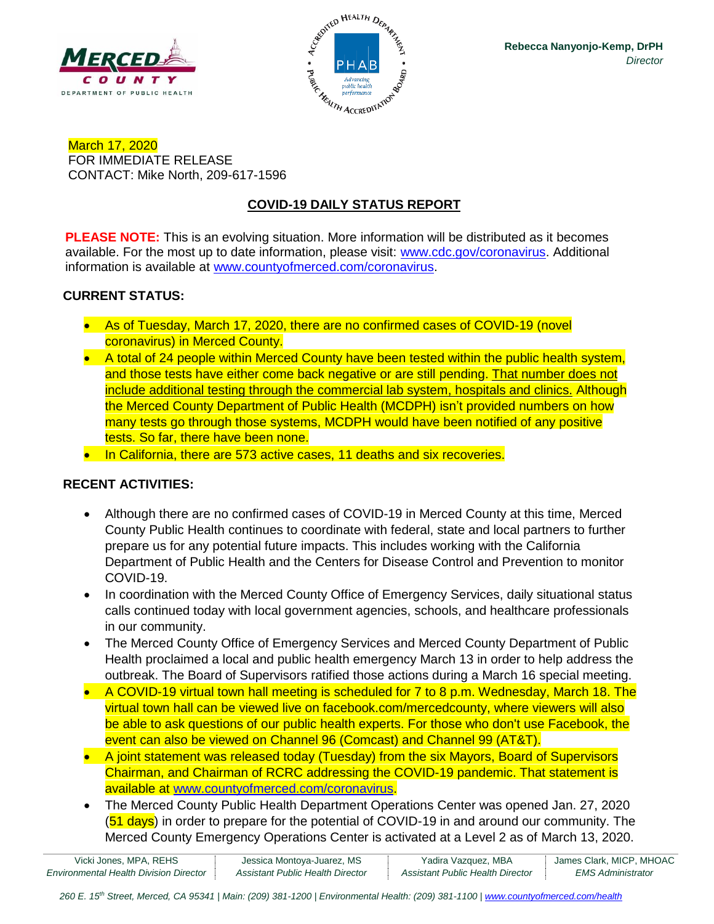



March 17, 2020 FOR IMMEDIATE RELEASE CONTACT: Mike North, 209-617-1596

# **COVID-19 DAILY STATUS REPORT**

**PLEASE NOTE:** This is an evolving situation. More information will be distributed as it becomes available. For the most up to date information, please visit: [www.cdc.gov/coronavirus.](http://www.cdc.gov/coronavirus) Additional information is available at [www.countyofmerced.com/coronavirus.](http://www.countyofmerced.com/coronavirus)

## **CURRENT STATUS:**

- As of Tuesday, March 17, 2020, there are no confirmed cases of COVID-19 (novel coronavirus) in Merced County.
- A total of 24 people within Merced County have been tested within the public health system, and those tests have either come back negative or are still pending. That number does not include additional testing through the commercial lab system, hospitals and clinics. Although the Merced County Department of Public Health (MCDPH) isn't provided numbers on how many tests go through those systems, MCDPH would have been notified of any positive tests. So far, there have been none.
- In California, there are 573 active cases, 11 deaths and six recoveries.

## **RECENT ACTIVITIES:**

- Although there are no confirmed cases of COVID-19 in Merced County at this time, Merced County Public Health continues to coordinate with federal, state and local partners to further prepare us for any potential future impacts. This includes working with the California Department of Public Health and the Centers for Disease Control and Prevention to monitor COVID-19.
- In coordination with the Merced County Office of Emergency Services, daily situational status calls continued today with local government agencies, schools, and healthcare professionals in our community.
- The Merced County Office of Emergency Services and Merced County Department of Public Health proclaimed a local and public health emergency March 13 in order to help address the outbreak. The Board of Supervisors ratified those actions during a March 16 special meeting.
- A COVID-19 virtual town hall meeting is scheduled for 7 to 8 p.m. Wednesday, March 18. The virtual town hall can be viewed live on facebook.com/mercedcounty, where viewers will also be able to ask questions of our public health experts. For those who don't use Facebook, the event can also be viewed on Channel 96 (Comcast) and Channel 99 (AT&T).
- A joint statement was released today (Tuesday) from the six Mayors, Board of Supervisors Chairman, and Chairman of RCRC addressing the COVID-19 pandemic. That statement is available at [www.countyofmerced.com/coronavirus.](http://www.countyofmerced.com/coronavirus)
- The Merced County Public Health Department Operations Center was opened Jan. 27, 2020 (51 days) in order to prepare for the potential of COVID-19 in and around our community. The Merced County Emergency Operations Center is activated at a Level 2 as of March 13, 2020.